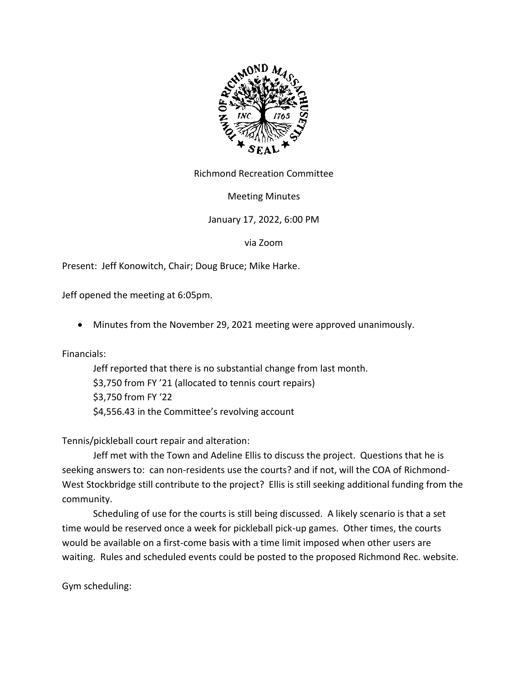

Richmond Recreation Committee

Meeting Minutes

# January 17, 2022, 6:00 PM

via Zoom

Present: Jeff Konowitch, Chair; Doug Bruce; Mike Harke.

Jeff opened the meeting at 6:05pm.

• Minutes from the November 29, 2021 meeting were approved unanimously.

Financials:

Jeff reported that there is no substantial change from last month. \$3,750 from FY '21 (allocated to tennis court repairs) \$3,750 from FY '22 \$4,556.43 in the Committee's revolving account

Tennis/pickleball court repair and alteration:

Jeff met with the Town and Adeline Ellis to discuss the project. Questions that he is seeking answers to: can non-residents use the courts? and if not, will the COA of Richmond-West Stockbridge still contribute to the project? Ellis is still seeking additional funding from the community.

Scheduling of use for the courts is still being discussed. A likely scenario is that a set time would be reserved once a week for pickleball pick-up games. Other times, the courts would be available on a first-come basis with a time limit imposed when other users are waiting. Rules and scheduled events could be posted to the proposed Richmond Rec. website.

Gym scheduling: